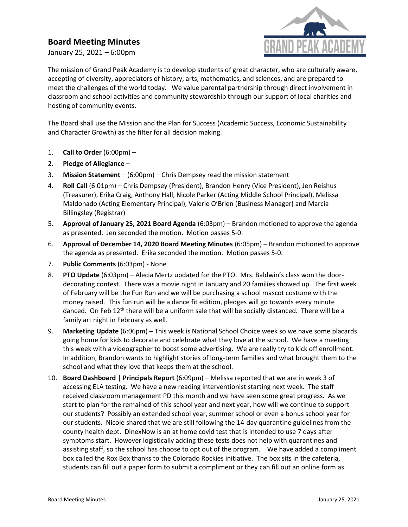## Board Meeting Minutes

January 25, 2021 – 6:00pm



The mission of Grand Peak Academy is to develop students of great character, who are culturally aware, accepting of diversity, appreciators of history, arts, mathematics, and sciences, and are prepared to meet the challenges of the world today. We value parental partnership through direct involvement in classroom and school activities and community stewardship through our support of local charities and hosting of community events.

The Board shall use the Mission and the Plan for Success (Academic Success, Economic Sustainability and Character Growth) as the filter for all decision making.

- 1. Call to Order  $(6:00 \text{pm})$  –
- 2. Pledge of Allegiance –
- 3. Mission Statement (6:00pm) Chris Dempsey read the mission statement
- 4. Roll Call (6:01pm) Chris Dempsey (President), Brandon Henry (Vice President), Jen Reishus (Treasurer), Erika Craig, Anthony Hall, Nicole Parker (Acting Middle School Principal), Melissa Maldonado (Acting Elementary Principal), Valerie O'Brien (Business Manager) and Marcia Billingsley (Registrar)
- 5. Approval of January 25, 2021 Board Agenda (6:03pm) Brandon motioned to approve the agenda as presented. Jen seconded the motion. Motion passes 5-0.
- 6. Approval of December 14, 2020 Board Meeting Minutes (6:05pm) Brandon motioned to approve the agenda as presented. Erika seconded the motion. Motion passes 5-0.
- 7. Public Comments (6:03pm) None
- 8. PTO Update (6:03pm) Alecia Mertz updated for the PTO. Mrs. Baldwin's class won the doordecorating contest. There was a movie night in January and 20 families showed up. The first week of February will be the Fun Run and we will be purchasing a school mascot costume with the money raised. This fun run will be a dance fit edition, pledges will go towards every minute danced. On Feb 12<sup>th</sup> there will be a uniform sale that will be socially distanced. There will be a family art night in February as well.
- 9. Marketing Update (6:06pm) This week is National School Choice week so we have some placards going home for kids to decorate and celebrate what they love at the school. We have a meeting this week with a videographer to boost some advertising. We are really try to kick off enrollment. In addition, Brandon wants to highlight stories of long-term families and what brought them to the school and what they love that keeps them at the school.
- 10. Board Dashboard | Principals Report (6:09pm) Melissa reported that we are in week 3 of accessing ELA testing. We have a new reading interventionist starting next week. The staff received classroom management PD this month and we have seen some great progress. As we start to plan for the remained of this school year and next year, how will we continue to support our students? Possibly an extended school year, summer school or even a bonus school year for our students. Nicole shared that we are still following the 14-day quarantine guidelines from the county health dept. DinexNow is an at home covid test that is intended to use 7 days after symptoms start. However logistically adding these tests does not help with quarantines and assisting staff, so the school has choose to opt out of the program. We have added a compliment box called the Rox Box thanks to the Colorado Rockies initiative. The box sits in the cafeteria, students can fill out a paper form to submit a compliment or they can fill out an online form as